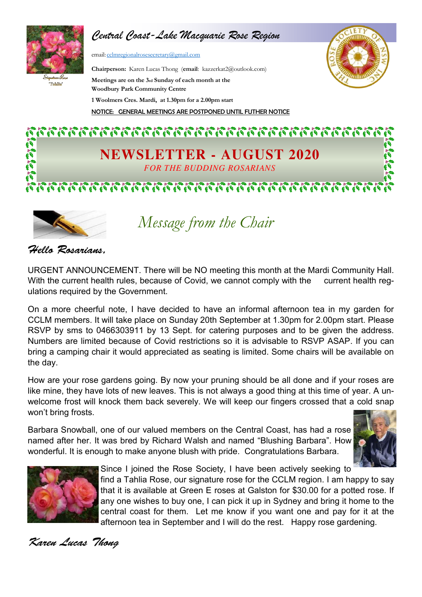

*Central Coast-Lake Macquarie Rose Region*

email: cclmregionalrosesecretary@gmail.com

.<br>"Tablia"

**Chairperson:** Karen Lucas Thong (**email**: kazzerkat2@outlook.com) **Meetings are on the 3rd Sunday of each month at the Woodbury Park Community Centre 1 Woolmers Cres. Mardi, at 1.30pm for a 2.00pm start** NOTICE: GENERAL MEETINGS ARE POSTPONED UNTIL FUTHER NOTICE



 $\mathcal{P}_1 \, \mathcal{P}_2 \, \mathcal{P}_3 \, \mathcal{P}_1 \, \mathcal{P}_1 \, \mathcal{P}_1 \, \mathcal{P}_2 \, \mathcal{P}_2 \, \mathcal{P}_3 \, \mathcal{P}_3 \, \mathcal{P}_2 \, \mathcal{P}_3 \, \mathcal{P}_4 \, \mathcal{P}_3 \, \mathcal{P}_2 \, \mathcal{P}_3 \, \mathcal{P}_4 \, \mathcal{P}_5 \, \mathcal{P}_6 \, \mathcal{P}_7 \, \mathcal{P}_8 \, \mathcal{P}_9 \, \mathcal{P}_9 \, \mathcal{P}_9 \, \mathcal{$ **NEWSLETTER - AUGUST 2020 FOR THE BUDDING ROSARIANS** 



*Message from the Chair*

Hello Rosarians.

URGENT ANNOUNCEMENT. There will be NO meeting this month at the Mardi Community Hall. With the current health rules, because of Covid, we cannot comply with the current health regulations required by the Government.

On a more cheerful note, I have decided to have an informal afternoon tea in my garden for CCLM members. It will take place on Sunday 20th September at 1.30pm for 2.00pm start. Please RSVP by sms to 0466303911 by 13 Sept. for catering purposes and to be given the address. Numbers are limited because of Covid restrictions so it is advisable to RSVP ASAP. If you can bring a camping chair it would appreciated as seating is limited. Some chairs will be available on the day.

How are your rose gardens going. By now your pruning should be all done and if your roses are like mine, they have lots of new leaves. This is not always a good thing at this time of year. A unwelcome frost will knock them back severely. We will keep our fingers crossed that a cold snap won't bring frosts.

Barbara Snowball, one of our valued members on the Central Coast, has had a rose named after her. It was bred by Richard Walsh and named "Blushing Barbara". How wonderful. It is enough to make anyone blush with pride. Congratulations Barbara.





Since I joined the Rose Society, I have been actively seeking to

find a Tahlia Rose, our signature rose for the CCLM region. I am happy to say that it is available at Green E roses at Galston for \$30.00 for a potted rose. If any one wishes to buy one, I can pick it up in Sydney and bring it home to the central coast for them. Let me know if you want one and pay for it at the afternoon tea in September and I will do the rest. Happy rose gardening.

Karen Lucas Thong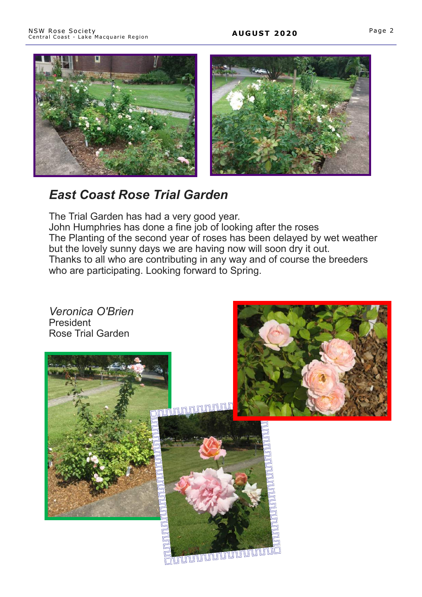



# *East Coast Rose Trial Garden*

The Trial Garden has had a very good year.

John Humphries has done a fine job of looking after the roses The Planting of the second year of roses has been delayed by wet weather but the lovely sunny days we are having now will soon dry it out. Thanks to all who are contributing in any way and of course the breeders who are participating. Looking forward to Spring.

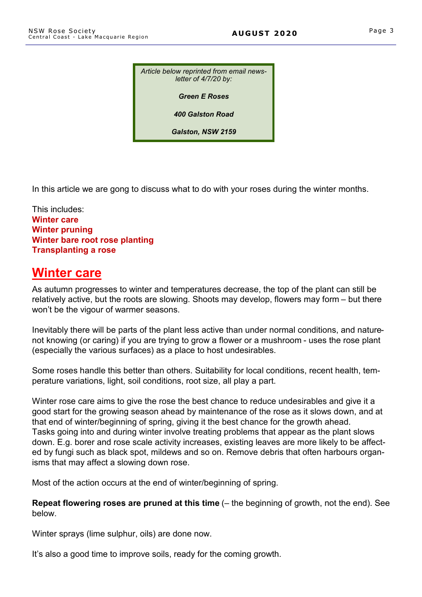*Article below reprinted from email newsletter of 4/7/20 by:*

*Green E Roses*

*400 Galston Road*

*Galston, NSW 2159*

In this article we are gong to discuss what to do with your roses during the winter months.

This includes: **Winter care Winter pruning Winter bare root rose planting Transplanting a rose**

## **Winter care**

As autumn progresses to winter and temperatures decrease, the top of the plant can still be relatively active, but the roots are slowing. Shoots may develop, flowers may form – but there won't be the vigour of warmer seasons.

Inevitably there will be parts of the plant less active than under normal conditions, and naturenot knowing (or caring) if you are trying to grow a flower or a mushroom - uses the rose plant (especially the various surfaces) as a place to host undesirables.

Some roses handle this better than others. Suitability for local conditions, recent health, temperature variations, light, soil conditions, root size, all play a part.

Winter rose care aims to give the rose the best chance to reduce undesirables and give it a good start for the growing season ahead by maintenance of the rose as it slows down, and at that end of winter/beginning of spring, giving it the best chance for the growth ahead. Tasks going into and during winter involve treating problems that appear as the plant slows down. E.g. borer and rose scale activity increases, existing leaves are more likely to be affected by fungi such as black spot, mildews and so on. Remove debris that often harbours organisms that may affect a slowing down rose.

Most of the action occurs at the end of winter/beginning of spring.

**Repeat flowering roses are pruned at this time** (– the beginning of growth, not the end). See below.

Winter sprays (lime sulphur, oils) are done now.

It's also a good time to improve soils, ready for the coming growth.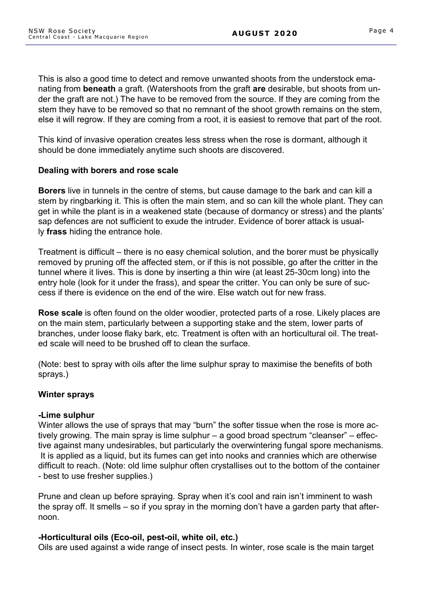This is also a good time to detect and remove unwanted shoots from the understock emanating from **beneath** a graft. (Watershoots from the graft **are** desirable, but shoots from under the graft are not.) The have to be removed from the source. If they are coming from the stem they have to be removed so that no remnant of the shoot growth remains on the stem, else it will regrow. If they are coming from a root, it is easiest to remove that part of the root.

This kind of invasive operation creates less stress when the rose is dormant, although it should be done immediately anytime such shoots are discovered.

## **Dealing with borers and rose scale**

**Borers** live in tunnels in the centre of stems, but cause damage to the bark and can kill a stem by ringbarking it. This is often the main stem, and so can kill the whole plant. They can get in while the plant is in a weakened state (because of dormancy or stress) and the plants' sap defences are not sufficient to exude the intruder. Evidence of borer attack is usually **frass** hiding the entrance hole.

Treatment is difficult – there is no easy chemical solution, and the borer must be physically removed by pruning off the affected stem, or if this is not possible, go after the critter in the tunnel where it lives. This is done by inserting a thin wire (at least 25-30cm long) into the entry hole (look for it under the frass), and spear the critter. You can only be sure of success if there is evidence on the end of the wire. Else watch out for new frass.

**Rose scale** is often found on the older woodier, protected parts of a rose. Likely places are on the main stem, particularly between a supporting stake and the stem, lower parts of branches, under loose flaky bark, etc. Treatment is often with an horticultural oil. The treated scale will need to be brushed off to clean the surface.

(Note: best to spray with oils after the lime sulphur spray to maximise the benefits of both sprays.)

## **Winter sprays**

### **-Lime sulphur**

Winter allows the use of sprays that may "burn" the softer tissue when the rose is more actively growing. The main spray is lime sulphur – a good broad spectrum "cleanser" – effective against many undesirables, but particularly the overwintering fungal spore mechanisms. It is applied as a liquid, but its fumes can get into nooks and crannies which are otherwise difficult to reach. (Note: old lime sulphur often crystallises out to the bottom of the container - best to use fresher supplies.)

Prune and clean up before spraying. Spray when it's cool and rain isn't imminent to wash the spray off. It smells – so if you spray in the morning don't have a garden party that afternoon.

### **-Horticultural oils (Eco-oil, pest-oil, white oil, etc.)**

Oils are used against a wide range of insect pests. In winter, rose scale is the main target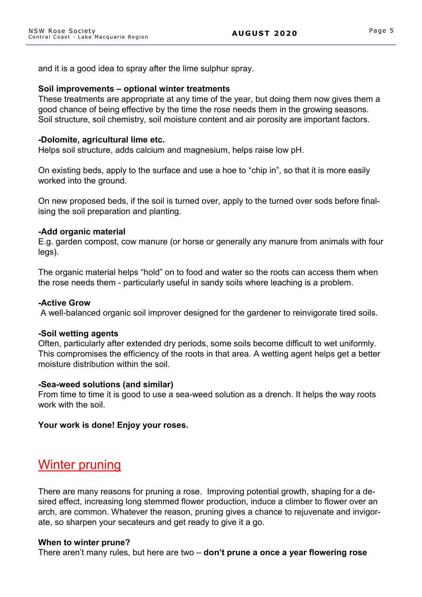and it is a good idea to spray after the lime sulphur spray.

#### **Soil improvements – optional winter treatments**

These treatments are appropriate at any time of the year, but doing them now gives them a good chance of being effective by the time the rose needs them in the growing seasons. Soil structure, soil chemistry, soil moisture content and air porosity are important factors.

#### **-Dolomite, agricultural lime etc.**

Helps soil structure, adds calcium and magnesium, helps raise low pH.

On existing beds, apply to the surface and use a hoe to "chip in", so that it is more easily worked into the ground.

On new proposed beds, if the soil is turned over, apply to the turned over sods before finalising the soil preparation and planting.

#### **-Add organic material**

E.g. garden compost, cow manure (or horse or generally any manure from animals with four legs).

The organic material helps "hold" on to food and water so the roots can access them when the rose needs them - particularly useful in sandy soils where leaching is a problem.

#### **-Active Grow**

A well-balanced organic soil improver designed for the gardener to reinvigorate tired soils.

#### **-Soil wetting agents**

Often, particularly after extended dry periods, some soils become difficult to wet uniformly. This compromises the efficiency of the roots in that area. A wetting agent helps get a better moisture distribution within the soil.

### **-Sea-weed solutions (and similar)**

From time to time it is good to use a sea-weed solution as a drench. It helps the way roots work with the soil.

### **Your work is done! Enjoy your roses.**

## Winter pruning

There are many reasons for pruning a rose. Improving potential growth, shaping for a desired effect, increasing long stemmed flower production, induce a climber to flower over an arch, are common. Whatever the reason, pruning gives a chance to rejuvenate and invigorate, so sharpen your secateurs and get ready to give it a go.

#### **When to winter prune?**

There aren't many rules, but here are two – **don't prune a once a year flowering rose**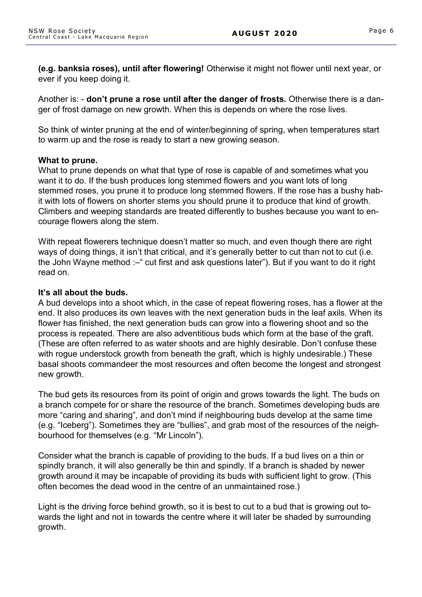**(e.g. banksia roses), until after flowering!** Otherwise it might not flower until next year, or ever if you keep doing it.

Another is: - **don't prune a rose until after the danger of frosts.** Otherwise there is a danger of frost damage on new growth. When this is depends on where the rose lives.

So think of winter pruning at the end of winter/beginning of spring, when temperatures start to warm up and the rose is ready to start a new growing season.

### **What to prune.**

What to prune depends on what that type of rose is capable of and sometimes what you want it to do. If the bush produces long stemmed flowers and you want lots of long stemmed roses, you prune it to produce long stemmed flowers. If the rose has a bushy habit with lots of flowers on shorter stems you should prune it to produce that kind of growth. Climbers and weeping standards are treated differently to bushes because you want to encourage flowers along the stem.

With repeat flowerers technique doesn't matter so much, and even though there are right ways of doing things, it isn't that critical, and it's generally better to cut than not to cut (i.e. the John Wayne method :-" cut first and ask questions later"). But if you want to do it right read on.

#### **It's all about the buds.**

A bud develops into a shoot which, in the case of repeat flowering roses, has a flower at the end. It also produces its own leaves with the next generation buds in the leaf axils. When its flower has finished, the next generation buds can grow into a flowering shoot and so the process is repeated. There are also adventitious buds which form at the base of the graft. (These are often referred to as water shoots and are highly desirable. Don't confuse these with rogue understock growth from beneath the graft, which is highly undesirable.) These basal shoots commandeer the most resources and often become the longest and strongest new growth.

The bud gets its resources from its point of origin and grows towards the light. The buds on a branch compete for or share the resource of the branch. Sometimes developing buds are more "caring and sharing", and don't mind if neighbouring buds develop at the same time (e.g. "Iceberg"). Sometimes they are "bullies", and grab most of the resources of the neighbourhood for themselves (e.g. "Mr Lincoln").

Consider what the branch is capable of providing to the buds. If a bud lives on a thin or spindly branch, it will also generally be thin and spindly. If a branch is shaded by newer growth around it may be incapable of providing its buds with sufficient light to grow. (This often becomes the dead wood in the centre of an unmaintained rose.)

Light is the driving force behind growth, so it is best to cut to a bud that is growing out towards the light and not in towards the centre where it will later be shaded by surrounding growth.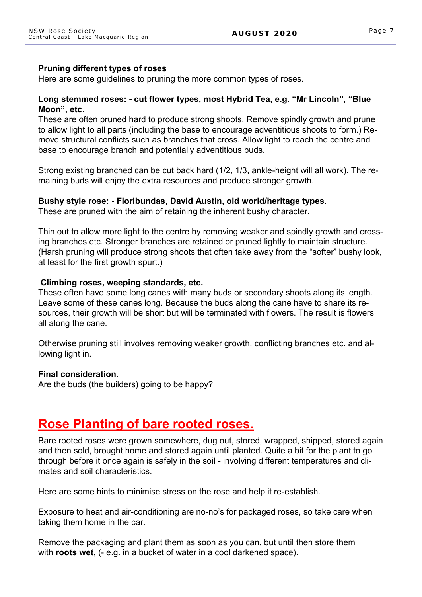### **Pruning different types of roses**

Here are some guidelines to pruning the more common types of roses.

### **Long stemmed roses: - cut flower types, most Hybrid Tea, e.g. "Mr Lincoln", "Blue Moon", etc.**

These are often pruned hard to produce strong shoots. Remove spindly growth and prune to allow light to all parts (including the base to encourage adventitious shoots to form.) Remove structural conflicts such as branches that cross. Allow light to reach the centre and base to encourage branch and potentially adventitious buds.

Strong existing branched can be cut back hard (1/2, 1/3, ankle-height will all work). The remaining buds will enjoy the extra resources and produce stronger growth.

### **Bushy style rose: - Floribundas, David Austin, old world/heritage types.**

These are pruned with the aim of retaining the inherent bushy character.

Thin out to allow more light to the centre by removing weaker and spindly growth and crossing branches etc. Stronger branches are retained or pruned lightly to maintain structure. (Harsh pruning will produce strong shoots that often take away from the "softer" bushy look, at least for the first growth spurt.)

#### **Climbing roses, weeping standards, etc.**

These often have some long canes with many buds or secondary shoots along its length. Leave some of these canes long. Because the buds along the cane have to share its resources, their growth will be short but will be terminated with flowers. The result is flowers all along the cane.

Otherwise pruning still involves removing weaker growth, conflicting branches etc. and allowing light in.

### **Final consideration.**

Are the buds (the builders) going to be happy?

## **Rose Planting of bare rooted roses.**

Bare rooted roses were grown somewhere, dug out, stored, wrapped, shipped, stored again and then sold, brought home and stored again until planted. Quite a bit for the plant to go through before it once again is safely in the soil - involving different temperatures and climates and soil characteristics.

Here are some hints to minimise stress on the rose and help it re-establish.

Exposure to heat and air-conditioning are no-no's for packaged roses, so take care when taking them home in the car.

Remove the packaging and plant them as soon as you can, but until then store them with **roots wet,** (- e.g. in a bucket of water in a cool darkened space).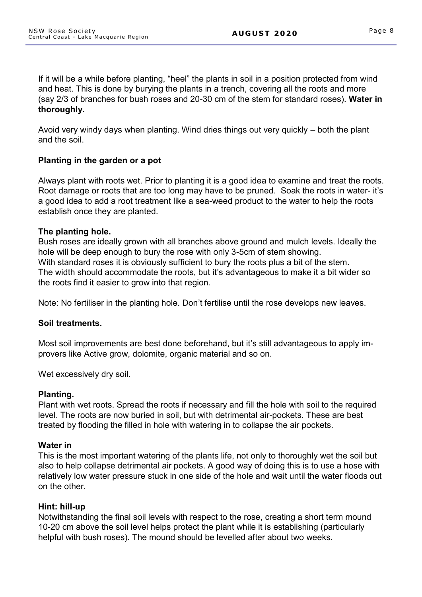If it will be a while before planting, "heel" the plants in soil in a position protected from wind and heat. This is done by burying the plants in a trench, covering all the roots and more (say 2/3 of branches for bush roses and 20-30 cm of the stem for standard roses). **Water in thoroughly.**

Avoid very windy days when planting. Wind dries things out very quickly – both the plant and the soil.

## **Planting in the garden or a pot**

Always plant with roots wet. Prior to planting it is a good idea to examine and treat the roots. Root damage or roots that are too long may have to be pruned. Soak the roots in water- it's a good idea to add a root treatment like a sea-weed product to the water to help the roots establish once they are planted.

### **The planting hole.**

Bush roses are ideally grown with all branches above ground and mulch levels. Ideally the hole will be deep enough to bury the rose with only 3-5cm of stem showing. With standard roses it is obviously sufficient to bury the roots plus a bit of the stem. The width should accommodate the roots, but it's advantageous to make it a bit wider so the roots find it easier to grow into that region.

Note: No fertiliser in the planting hole. Don't fertilise until the rose develops new leaves.

### **Soil treatments.**

Most soil improvements are best done beforehand, but it's still advantageous to apply improvers like Active grow, dolomite, organic material and so on.

Wet excessively dry soil.

### **Planting.**

Plant with wet roots. Spread the roots if necessary and fill the hole with soil to the required level. The roots are now buried in soil, but with detrimental air-pockets. These are best treated by flooding the filled in hole with watering in to collapse the air pockets.

### **Water in**

This is the most important watering of the plants life, not only to thoroughly wet the soil but also to help collapse detrimental air pockets. A good way of doing this is to use a hose with relatively low water pressure stuck in one side of the hole and wait until the water floods out on the other.

### **Hint: hill-up**

Notwithstanding the final soil levels with respect to the rose, creating a short term mound 10-20 cm above the soil level helps protect the plant while it is establishing (particularly helpful with bush roses). The mound should be levelled after about two weeks.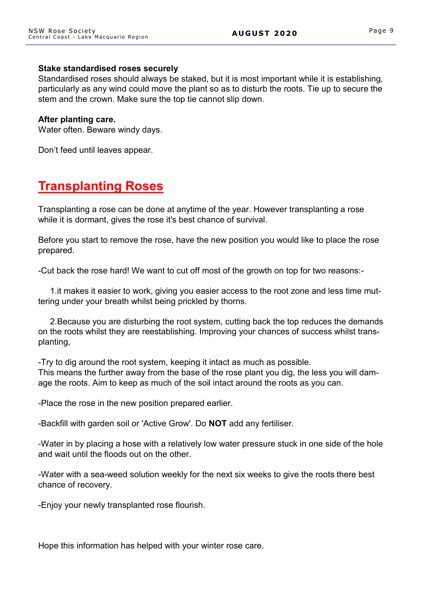#### **Stake standardised roses securely**

Standardised roses should always be staked, but it is most important while it is establishing, particularly as any wind could move the plant so as to disturb the roots. Tie up to secure the stem and the crown. Make sure the top tie cannot slip down.

#### **After planting care.**

Water often. Beware windy days.

Don't feed until leaves appear.

# **Transplanting Roses**

Transplanting a rose can be done at anytime of the year. However transplanting a rose while it is dormant, gives the rose it's best chance of survival.

Before you start to remove the rose, have the new position you would like to place the rose prepared.

-Cut back the rose hard! We want to cut off most of the growth on top for two reasons:-

1.it makes it easier to work, giving you easier access to the root zone and less time muttering under your breath whilst being prickled by thorns.

2.Because you are disturbing the root system, cutting back the top reduces the demands on the roots whilst they are reestablishing. Improving your chances of success whilst transplanting,

-Try to dig around the root system, keeping it intact as much as possible. This means the further away from the base of the rose plant you dig, the less you will damage the roots. Aim to keep as much of the soil intact around the roots as you can.

-Place the rose in the new position prepared earlier.

-Backfill with garden soil or 'Active Grow'. Do **NOT** add any fertiliser.

-Water in by placing a hose with a relatively low water pressure stuck in one side of the hole and wait until the floods out on the other.

-Water with a sea-weed solution weekly for the next six weeks to give the roots there best chance of recovery.

-Enjoy your newly transplanted rose flourish.

Hope this information has helped with your winter rose care.